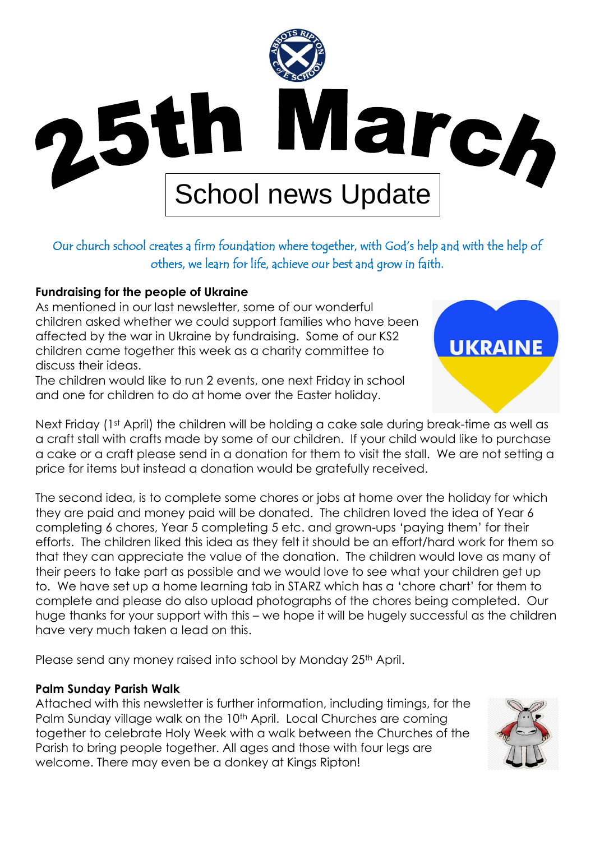

# Our church school creates a firm foundation where together, with God's help and with the help of others, we learn for life, achieve our best and grow in faith.

### **Fundraising for the people of Ukraine**

As mentioned in our last newsletter, some of our wonderful children asked whether we could support families who have been affected by the war in Ukraine by fundraising. Some of our KS2 children came together this week as a charity committee to discuss their ideas.

The children would like to run 2 events, one next Friday in school and one for children to do at home over the Easter holiday.

Next Friday (1<sup>st</sup> April) the children will be holding a cake sale during break-time as well as a craft stall with crafts made by some of our children. If your child would like to purchase a cake or a craft please send in a donation for them to visit the stall. We are not setting a price for items but instead a donation would be gratefully received.

The second idea, is to complete some chores or jobs at home over the holiday for which they are paid and money paid will be donated. The children loved the idea of Year 6 completing 6 chores, Year 5 completing 5 etc. and grown-ups 'paying them' for their efforts. The children liked this idea as they felt it should be an effort/hard work for them so that they can appreciate the value of the donation. The children would love as many of their peers to take part as possible and we would love to see what your children get up to. We have set up a home learning tab in STARZ which has a 'chore chart' for them to complete and please do also upload photographs of the chores being completed. Our huge thanks for your support with this – we hope it will be hugely successful as the children have very much taken a lead on this.

Please send any money raised into school by Monday 25<sup>th</sup> April.

#### **Palm Sunday Parish Walk**

Attached with this newsletter is further information, including timings, for the Palm Sunday village walk on the 10<sup>th</sup> April. Local Churches are coming together to celebrate Holy Week with a walk between the Churches of the Parish to bring people together. All ages and those with four legs are welcome. There may even be a donkey at Kings Ripton!



**UKRAINE**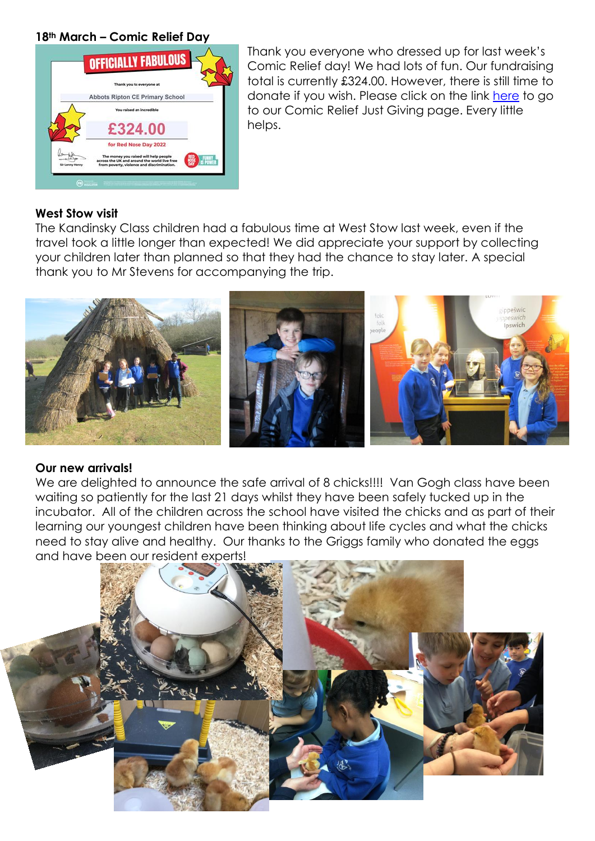#### **18th March – Comic Relief Day**



Thank you everyone who dressed up for last week's Comic Relief day! We had lots of fun. Our fundraising total is currently £324.00. However, there is still time to donate if you wish. Please click on the link [here](https://www.justgiving.com/fundraising/claire-matthews29) to go to our Comic Relief Just Giving page. Every little helps.

#### **West Stow visit**

The Kandinsky Class children had a fabulous time at West Stow last week, even if the travel took a little longer than expected! We did appreciate your support by collecting your children later than planned so that they had the chance to stay later. A special thank you to Mr Stevens for accompanying the trip.



#### **Our new arrivals!**

We are delighted to announce the safe arrival of 8 chicks!!!! Van Gogh class have been waiting so patiently for the last 21 days whilst they have been safely tucked up in the incubator. All of the children across the school have visited the chicks and as part of their learning our youngest children have been thinking about life cycles and what the chicks need to stay alive and healthy. Our thanks to the Griggs family who donated the eggs and have been our resident experts!

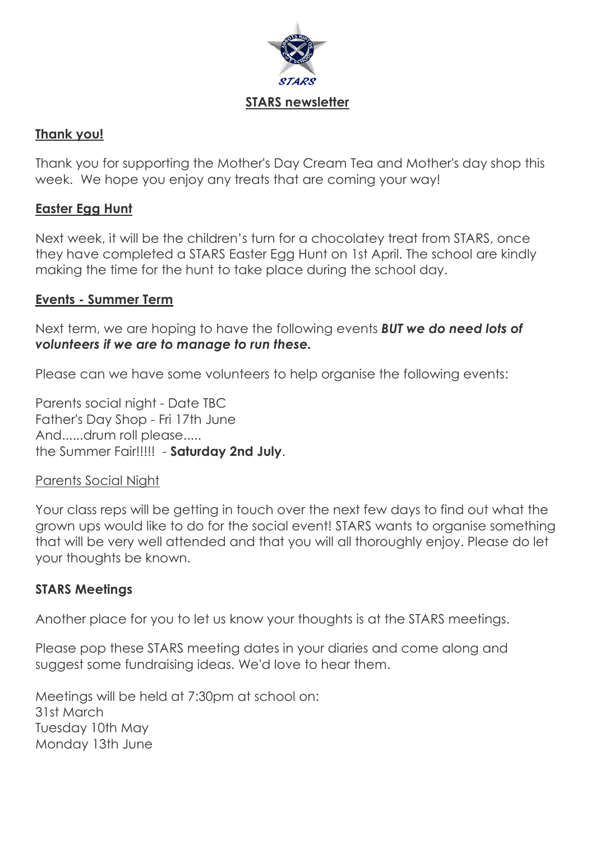

## **Thank you!**

Thank you for supporting the Mother's Day Cream Tea and Mother's day shop this week. We hope you enjoy any treats that are coming your way!

## **Easter Egg Hunt**

Next week, it will be the children's turn for a chocolatey treat from STARS, once they have completed a STARS Easter Egg Hunt on 1st April. The school are kindly making the time for the hunt to take place during the school day.

## **Events - Summer Term**

Next term, we are hoping to have the following events *BUT we do need lots of volunteers if we are to manage to run these.*

Please can we have some volunteers to help organise the following events:

Parents social night - Date TBC Father's Day Shop - Fri 17th June And......drum roll please..... the Summer Fair!!!!! - **Saturday 2nd July**.

## Parents Social Night

Your class reps will be getting in touch over the next few days to find out what the grown ups would like to do for the social event! STARS wants to organise something that will be very well attended and that you will all thoroughly enjoy. Please do let your thoughts be known.

## **STARS Meetings**

Another place for you to let us know your thoughts is at the STARS meetings.

Please pop these STARS meeting dates in your diaries and come along and suggest some fundraising ideas. We'd love to hear them.

Meetings will be held at 7:30pm at school on: 31st March Tuesday 10th May Monday 13th June